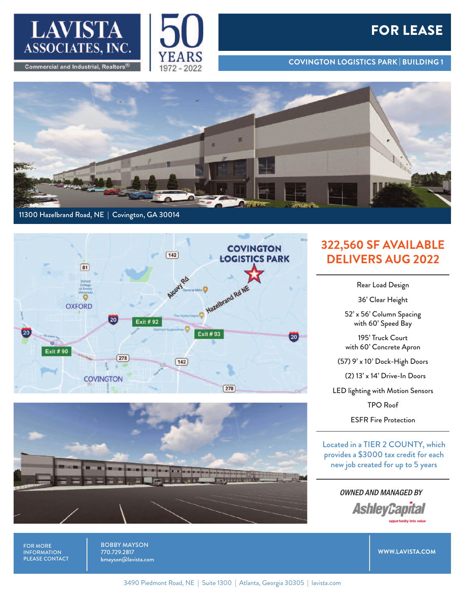



## **FOR LEASE**

**COVINGTON LOGISTICS PARK | BUILDING 1**



## 11300 Hazelbrand Road, NE | Covington, GA 30014





## **322,560 SF AVAILABLE DELIVERS AUG 2022**

Rear Load Design

36' Clear Height

52' x 56' Column Spacing with 60' Speed Bay

195' Truck Court with 60' Concrete Apron

(57) 9' x 10' Dock-High Doors

(2) 13' x 14' Drive-In Doors

LED lighting with Motion Sensors

TPO Roof

ESFR Fire Protection

Located in a TIER 2 COUNTY, which provides a \$3000 tax credit for each new job created for up to 5 years

> OWNED AND MANAGED BY **AshleyCapital**

> > **WWW.LAVISTA.COM**

FOR MORE INFORMATION PLEASE CONTACT BOBBY MAYSON 770.729.2817 bmayson@lavista.com